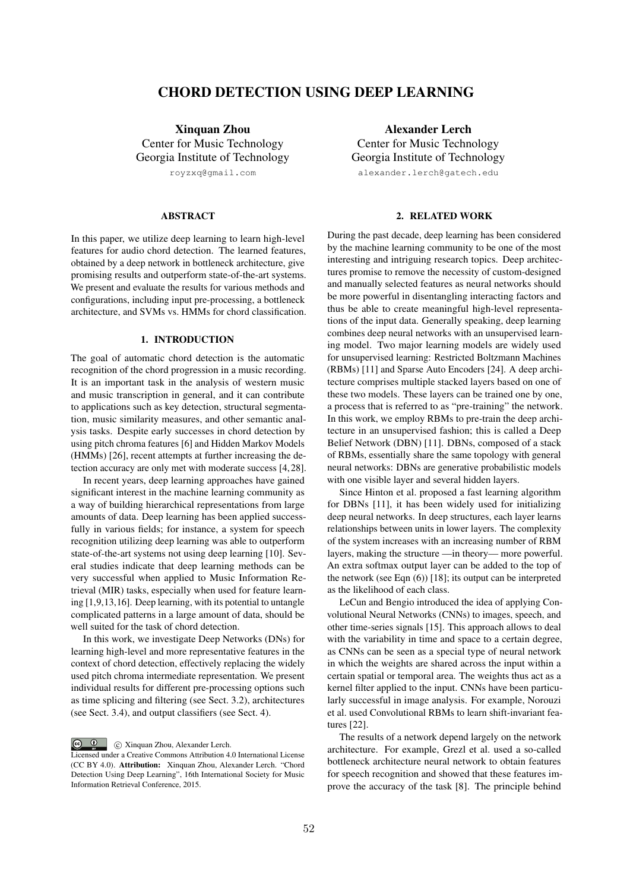# CHORD DETECTION USING DEEP LEARNING

Xinquan Zhou Center for Music Technology Georgia Institute of Technology

royzxq@gmail.com

### ABSTRACT

In this paper, we utilize deep learning to learn high-level features for audio chord detection. The learned features, obtained by a deep network in bottleneck architecture, give promising results and outperform state-of-the-art systems. We present and evaluate the results for various methods and configurations, including input pre-processing, a bottleneck architecture, and SVMs vs. HMMs for chord classification.

### 1. INTRODUCTION

The goal of automatic chord detection is the automatic recognition of the chord progression in a music recording. It is an important task in the analysis of western music and music transcription in general, and it can contribute to applications such as key detection, structural segmentation, music similarity measures, and other semantic analysis tasks. Despite early successes in chord detection by using pitch chroma features [6] and Hidden Markov Models (HMMs) [26], recent attempts at further increasing the detection accuracy are only met with moderate success [4, 28].

In recent years, deep learning approaches have gained significant interest in the machine learning community as a way of building hierarchical representations from large amounts of data. Deep learning has been applied successfully in various fields; for instance, a system for speech recognition utilizing deep learning was able to outperform state-of-the-art systems not using deep learning [10]. Several studies indicate that deep learning methods can be very successful when applied to Music Information Retrieval (MIR) tasks, especially when used for feature learning [1,9,13,16]. Deep learning, with its potential to untangle complicated patterns in a large amount of data, should be well suited for the task of chord detection.

In this work, we investigate Deep Networks (DNs) for learning high-level and more representative features in the context of chord detection, effectively replacing the widely used pitch chroma intermediate representation. We present individual results for different pre-processing options such as time splicing and filtering (see Sect. 3.2), architectures (see Sect. 3.4), and output classifiers (see Sect. 4).

 $\circ$   $\circ$ c Xinquan Zhou, Alexander Lerch.

Alexander Lerch Center for Music Technology Georgia Institute of Technology alexander.lerch@gatech.edu

2. RELATED WORK

During the past decade, deep learning has been considered by the machine learning community to be one of the most interesting and intriguing research topics. Deep architectures promise to remove the necessity of custom-designed and manually selected features as neural networks should be more powerful in disentangling interacting factors and thus be able to create meaningful high-level representations of the input data. Generally speaking, deep learning combines deep neural networks with an unsupervised learning model. Two major learning models are widely used for unsupervised learning: Restricted Boltzmann Machines (RBMs) [11] and Sparse Auto Encoders [24]. A deep architecture comprises multiple stacked layers based on one of these two models. These layers can be trained one by one, a process that is referred to as "pre-training" the network. In this work, we employ RBMs to pre-train the deep architecture in an unsupervised fashion; this is called a Deep Belief Network (DBN) [11]. DBNs, composed of a stack of RBMs, essentially share the same topology with general neural networks: DBNs are generative probabilistic models with one visible layer and several hidden layers.

Since Hinton et al. proposed a fast learning algorithm for DBNs [11], it has been widely used for initializing deep neural networks. In deep structures, each layer learns relationships between units in lower layers. The complexity of the system increases with an increasing number of RBM layers, making the structure —in theory— more powerful. An extra softmax output layer can be added to the top of the network (see Eqn (6)) [18]; its output can be interpreted as the likelihood of each class.

LeCun and Bengio introduced the idea of applying Convolutional Neural Networks (CNNs) to images, speech, and other time-series signals [15]. This approach allows to deal with the variability in time and space to a certain degree, as CNNs can be seen as a special type of neural network in which the weights are shared across the input within a certain spatial or temporal area. The weights thus act as a kernel filter applied to the input. CNNs have been particularly successful in image analysis. For example, Norouzi et al. used Convolutional RBMs to learn shift-invariant features [22].

The results of a network depend largely on the network architecture. For example, Grezl et al. used a so-called bottleneck architecture neural network to obtain features for speech recognition and showed that these features improve the accuracy of the task [8]. The principle behind

Licensed under a Creative Commons Attribution 4.0 International License (CC BY 4.0). Attribution: Xinquan Zhou, Alexander Lerch. "Chord Detection Using Deep Learning", 16th International Society for Music Information Retrieval Conference, 2015.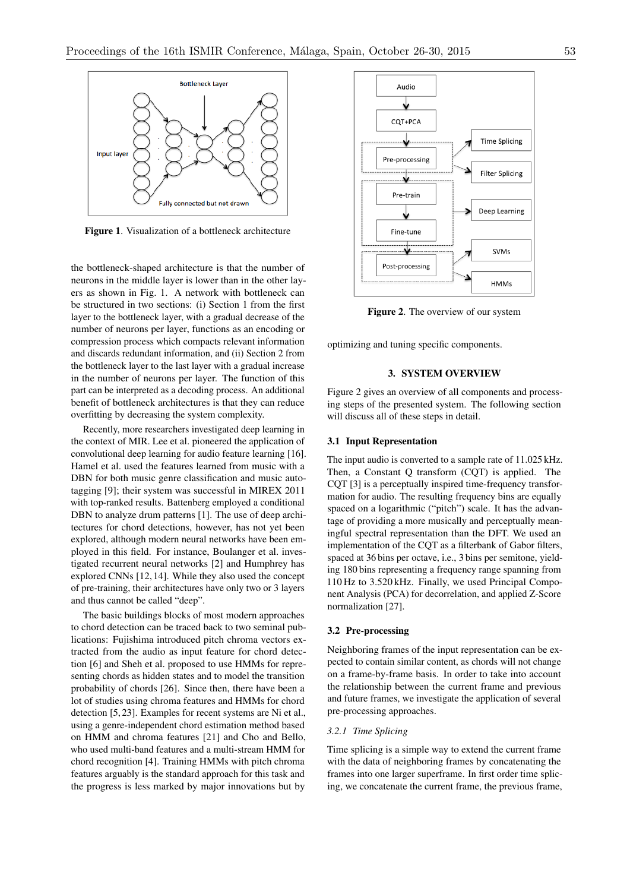

Figure 1. Visualization of a bottleneck architecture

the bottleneck-shaped architecture is that the number of neurons in the middle layer is lower than in the other layers as shown in Fig. 1. A network with bottleneck can be structured in two sections: (i) Section 1 from the first layer to the bottleneck layer, with a gradual decrease of the number of neurons per layer, functions as an encoding or compression process which compacts relevant information and discards redundant information, and (ii) Section 2 from the bottleneck layer to the last layer with a gradual increase in the number of neurons per layer. The function of this part can be interpreted as a decoding process. An additional benefit of bottleneck architectures is that they can reduce overfitting by decreasing the system complexity.

Recently, more researchers investigated deep learning in the context of MIR. Lee et al. pioneered the application of convolutional deep learning for audio feature learning [16]. Hamel et al. used the features learned from music with a DBN for both music genre classification and music autotagging [9]; their system was successful in MIREX 2011 with top-ranked results. Battenberg employed a conditional DBN to analyze drum patterns [1]. The use of deep architectures for chord detections, however, has not yet been explored, although modern neural networks have been employed in this field. For instance, Boulanger et al. investigated recurrent neural networks [2] and Humphrey has explored CNNs [12, 14]. While they also used the concept of pre-training, their architectures have only two or 3 layers and thus cannot be called "deep".

The basic buildings blocks of most modern approaches to chord detection can be traced back to two seminal publications: Fujishima introduced pitch chroma vectors extracted from the audio as input feature for chord detection [6] and Sheh et al. proposed to use HMMs for representing chords as hidden states and to model the transition probability of chords [26]. Since then, there have been a lot of studies using chroma features and HMMs for chord detection [5, 23]. Examples for recent systems are Ni et al., using a genre-independent chord estimation method based on HMM and chroma features [21] and Cho and Bello, who used multi-band features and a multi-stream HMM for chord recognition [4]. Training HMMs with pitch chroma features arguably is the standard approach for this task and the progress is less marked by major innovations but by



Figure 2. The overview of our system

optimizing and tuning specific components.

### 3. SYSTEM OVERVIEW

Figure 2 gives an overview of all components and processing steps of the presented system. The following section will discuss all of these steps in detail.

#### 3.1 Input Representation

The input audio is converted to a sample rate of 11.025 kHz. Then, a Constant Q transform (CQT) is applied. The CQT [3] is a perceptually inspired time-frequency transformation for audio. The resulting frequency bins are equally spaced on a logarithmic ("pitch") scale. It has the advantage of providing a more musically and perceptually meaningful spectral representation than the DFT. We used an implementation of the CQT as a filterbank of Gabor filters, spaced at 36 bins per octave, i.e., 3 bins per semitone, yielding 180 bins representing a frequency range spanning from 110 Hz to 3.520 kHz. Finally, we used Principal Component Analysis (PCA) for decorrelation, and applied Z-Score normalization [27].

#### 3.2 Pre-processing

Neighboring frames of the input representation can be expected to contain similar content, as chords will not change on a frame-by-frame basis. In order to take into account the relationship between the current frame and previous and future frames, we investigate the application of several pre-processing approaches.

### *3.2.1 Time Splicing*

Time splicing is a simple way to extend the current frame with the data of neighboring frames by concatenating the frames into one larger superframe. In first order time splicing, we concatenate the current frame, the previous frame,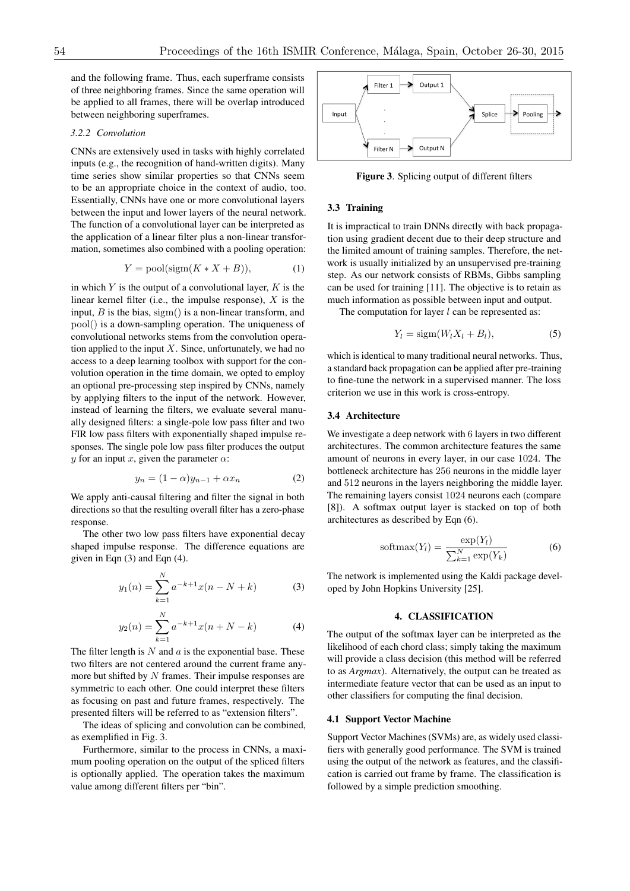and the following frame. Thus, each superframe consists of three neighboring frames. Since the same operation will be applied to all frames, there will be overlap introduced between neighboring superframes.

### *3.2.2 Convolution*

CNNs are extensively used in tasks with highly correlated inputs (e.g., the recognition of hand-written digits). Many time series show similar properties so that CNNs seem to be an appropriate choice in the context of audio, too. Essentially, CNNs have one or more convolutional layers between the input and lower layers of the neural network. The function of a convolutional layer can be interpreted as the application of a linear filter plus a non-linear transformation, sometimes also combined with a pooling operation:

$$
Y = \text{pool}(\text{sigm}(K * X + B)),\tag{1}
$$

in which *Y* is the output of a convolutional layer, *K* is the linear kernel filter (i.e., the impulse response), *X* is the input, *B* is the bias, sigm() is a non-linear transform, and pool() is a down-sampling operation. The uniqueness of convolutional networks stems from the convolution operation applied to the input  $X$ . Since, unfortunately, we had no access to a deep learning toolbox with support for the convolution operation in the time domain, we opted to employ an optional pre-processing step inspired by CNNs, namely by applying filters to the input of the network. However, instead of learning the filters, we evaluate several manually designed filters: a single-pole low pass filter and two FIR low pass filters with exponentially shaped impulse responses. The single pole low pass filter produces the output *y* for an input *x*, given the parameter  $\alpha$ :

$$
y_n = (1 - \alpha)y_{n-1} + \alpha x_n \tag{2}
$$

We apply anti-causal filtering and filter the signal in both directions so that the resulting overall filter has a zero-phase response.

The other two low pass filters have exponential decay shaped impulse response. The difference equations are given in Eqn (3) and Eqn (4).

$$
y_1(n) = \sum_{k=1}^{N} a^{-k+1} x(n - N + k)
$$
 (3)

$$
y_2(n) = \sum_{k=1}^{N} a^{-k+1} x(n+N-k)
$$
 (4)

The filter length is *N* and *a* is the exponential base. These two filters are not centered around the current frame anymore but shifted by *N* frames. Their impulse responses are symmetric to each other. One could interpret these filters as focusing on past and future frames, respectively. The presented filters will be referred to as "extension filters".

The ideas of splicing and convolution can be combined, as exemplified in Fig. 3.

Furthermore, similar to the process in CNNs, a maximum pooling operation on the output of the spliced filters is optionally applied. The operation takes the maximum value among different filters per "bin".



Figure 3. Splicing output of different filters

### 3.3 Training

It is impractical to train DNNs directly with back propagation using gradient decent due to their deep structure and the limited amount of training samples. Therefore, the network is usually initialized by an unsupervised pre-training step. As our network consists of RBMs, Gibbs sampling can be used for training [11]. The objective is to retain as much information as possible between input and output.

The computation for layer *l* can be represented as:

$$
Y_l = \text{sigm}(W_l X_l + B_l),\tag{5}
$$

which is identical to many traditional neural networks. Thus, a standard back propagation can be applied after pre-training to fine-tune the network in a supervised manner. The loss criterion we use in this work is cross-entropy.

### 3.4 Architecture

We investigate a deep network with 6 layers in two different architectures. The common architecture features the same amount of neurons in every layer, in our case 1024. The bottleneck architecture has 256 neurons in the middle layer and 512 neurons in the layers neighboring the middle layer. The remaining layers consist 1024 neurons each (compare [8]). A softmax output layer is stacked on top of both architectures as described by Eqn (6).

$$
softmax(Y_l) = \frac{\exp(Y_l)}{\sum_{k=1}^{N} \exp(Y_k)}
$$
(6)

The network is implemented using the Kaldi package developed by John Hopkins University [25].

### 4. CLASSIFICATION

The output of the softmax layer can be interpreted as the likelihood of each chord class; simply taking the maximum will provide a class decision (this method will be referred to as *Argmax*). Alternatively, the output can be treated as intermediate feature vector that can be used as an input to other classifiers for computing the final decision.

#### 4.1 Support Vector Machine

Support Vector Machines (SVMs) are, as widely used classifiers with generally good performance. The SVM is trained using the output of the network as features, and the classification is carried out frame by frame. The classification is followed by a simple prediction smoothing.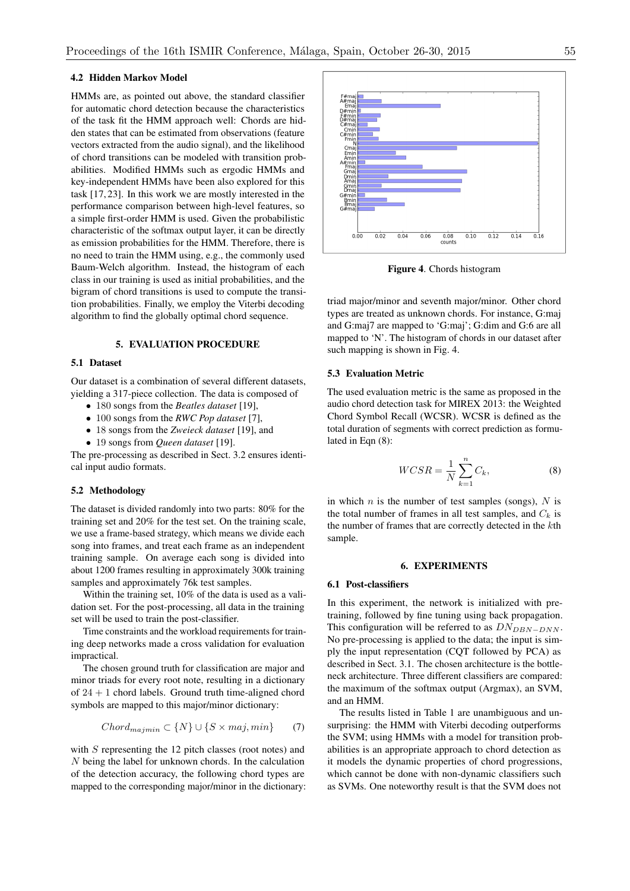### 4.2 Hidden Markov Model

HMMs are, as pointed out above, the standard classifier for automatic chord detection because the characteristics of the task fit the HMM approach well: Chords are hidden states that can be estimated from observations (feature vectors extracted from the audio signal), and the likelihood of chord transitions can be modeled with transition probabilities. Modified HMMs such as ergodic HMMs and key-independent HMMs have been also explored for this task [17, 23]. In this work we are mostly interested in the performance comparison between high-level features, so a simple first-order HMM is used. Given the probabilistic characteristic of the softmax output layer, it can be directly as emission probabilities for the HMM. Therefore, there is no need to train the HMM using, e.g., the commonly used Baum-Welch algorithm. Instead, the histogram of each class in our training is used as initial probabilities, and the bigram of chord transitions is used to compute the transition probabilities. Finally, we employ the Viterbi decoding algorithm to find the globally optimal chord sequence.

#### 5. EVALUATION PROCEDURE

#### 5.1 Dataset

Our dataset is a combination of several different datasets, yielding a 317-piece collection. The data is composed of

- *•* 180 songs from the *Beatles dataset* [19],
- *•* 100 songs from the *RWC Pop dataset* [7],
- *•* 18 songs from the *Zweieck dataset* [19], and
- *•* 19 songs from *Queen dataset* [19].

The pre-processing as described in Sect. 3.2 ensures identical input audio formats.

### 5.2 Methodology

The dataset is divided randomly into two parts: 80% for the training set and 20% for the test set. On the training scale, we use a frame-based strategy, which means we divide each song into frames, and treat each frame as an independent training sample. On average each song is divided into about 1200 frames resulting in approximately 300k training samples and approximately 76k test samples.

Within the training set, 10% of the data is used as a validation set. For the post-processing, all data in the training set will be used to train the post-classifier.

Time constraints and the workload requirements for training deep networks made a cross validation for evaluation impractical.

The chosen ground truth for classification are major and minor triads for every root note, resulting in a dictionary of  $24 + 1$  chord labels. Ground truth time-aligned chord symbols are mapped to this major/minor dictionary:

$$
Chord_{\text{major}} \subset \{N\} \cup \{S \times \text{maj}, \text{min}\} \tag{7}
$$

with *S* representing the 12 pitch classes (root notes) and *N* being the label for unknown chords. In the calculation of the detection accuracy, the following chord types are mapped to the corresponding major/minor in the dictionary:



Figure 4. Chords histogram

triad major/minor and seventh major/minor. Other chord types are treated as unknown chords. For instance, G:maj and G:maj7 are mapped to 'G:maj'; G:dim and G:6 are all mapped to 'N'. The histogram of chords in our dataset after such mapping is shown in Fig. 4.

#### 5.3 Evaluation Metric

The used evaluation metric is the same as proposed in the audio chord detection task for MIREX 2013: the Weighted Chord Symbol Recall (WCSR). WCSR is defined as the total duration of segments with correct prediction as formulated in Eqn (8):

$$
WCSR = \frac{1}{N} \sum_{k=1}^{n} C_k,
$$
\n(8)

in which *n* is the number of test samples (songs), *N* is the total number of frames in all test samples, and  $C_k$  is the number of frames that are correctly detected in the *k*th sample.

#### 6. EXPERIMENTS

#### 6.1 Post-classifiers

In this experiment, the network is initialized with pretraining, followed by fine tuning using back propagation. This configuration will be referred to as  $D N_{DBN-DNN}$ . No pre-processing is applied to the data; the input is simply the input representation (CQT followed by PCA) as described in Sect. 3.1. The chosen architecture is the bottleneck architecture. Three different classifiers are compared: the maximum of the softmax output (Argmax), an SVM, and an HMM.

The results listed in Table 1 are unambiguous and unsurprising: the HMM with Viterbi decoding outperforms the SVM; using HMMs with a model for transition probabilities is an appropriate approach to chord detection as it models the dynamic properties of chord progressions, which cannot be done with non-dynamic classifiers such as SVMs. One noteworthy result is that the SVM does not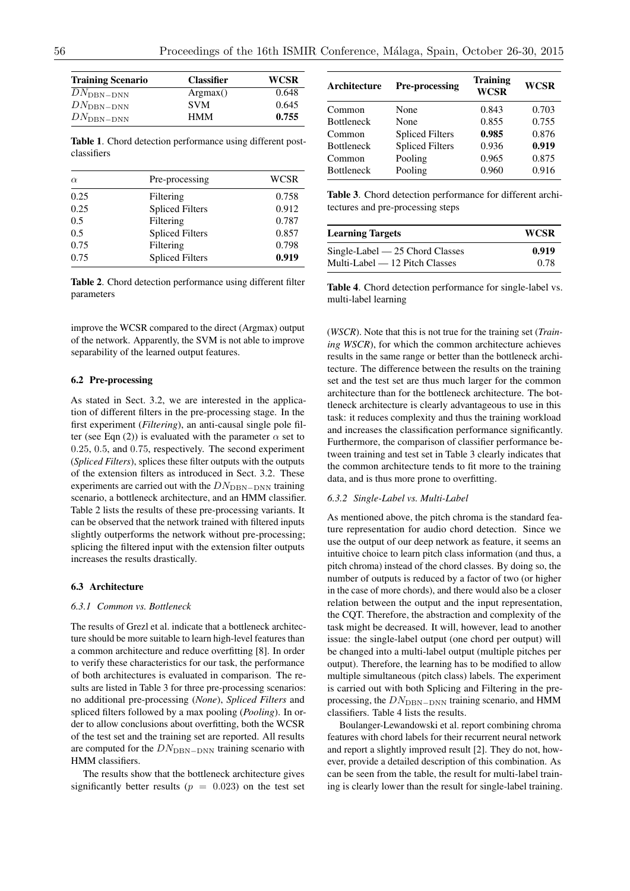| <b>Training Scenario</b> | <b>Classifier</b> | <b>WCSR</b> |
|--------------------------|-------------------|-------------|
| $DN_{\rm DBN-DNN}$       | Argmax()          | 0.648       |
| $DN_{\rm DBN-DNN}$       | <b>SVM</b>        | 0.645       |
| $DN_{\rm DBN-DNN}$       | <b>HMM</b>        | 0.755       |

Table 1. Chord detection performance using different postclassifiers

| $\alpha$ | Pre-processing         | WCSR  |
|----------|------------------------|-------|
| 0.25     | Filtering              | 0.758 |
| 0.25     | <b>Spliced Filters</b> | 0.912 |
| 0.5      | Filtering              | 0.787 |
| 0.5      | <b>Spliced Filters</b> | 0.857 |
| 0.75     | Filtering              | 0.798 |
| 0.75     | <b>Spliced Filters</b> | 0.919 |

Table 2. Chord detection performance using different filter parameters

improve the WCSR compared to the direct (Argmax) output of the network. Apparently, the SVM is not able to improve separability of the learned output features.

#### 6.2 Pre-processing

As stated in Sect. 3.2, we are interested in the application of different filters in the pre-processing stage. In the first experiment (*Filtering*), an anti-causal single pole filter (see Eqn (2)) is evaluated with the parameter  $\alpha$  set to 0*.*25, 0*.*5, and 0*.*75, respectively. The second experiment (*Spliced Filters*), splices these filter outputs with the outputs of the extension filters as introduced in Sect. 3.2. These experiments are carried out with the  $DN_{\text{DBN-DNN}}$  training scenario, a bottleneck architecture, and an HMM classifier. Table 2 lists the results of these pre-processing variants. It can be observed that the network trained with filtered inputs slightly outperforms the network without pre-processing; splicing the filtered input with the extension filter outputs increases the results drastically.

#### 6.3 Architecture

## *6.3.1 Common vs. Bottleneck*

The results of Grezl et al. indicate that a bottleneck architecture should be more suitable to learn high-level features than a common architecture and reduce overfitting [8]. In order to verify these characteristics for our task, the performance of both architectures is evaluated in comparison. The results are listed in Table 3 for three pre-processing scenarios: no additional pre-processing (*None*), *Spliced Filters* and spliced filters followed by a max pooling (*Pooling*). In order to allow conclusions about overfitting, both the WCSR of the test set and the training set are reported. All results are computed for the  $DN_{\text{DBN-DNN}}$  training scenario with HMM classifiers.

The results show that the bottleneck architecture gives significantly better results ( $p = 0.023$ ) on the test set

| Architecture      | <b>Pre-processing</b>  | <b>Training</b><br><b>WCSR</b> | <b>WCSR</b> |
|-------------------|------------------------|--------------------------------|-------------|
| Common            | None                   | 0.843                          | 0.703       |
| <b>Bottleneck</b> | None                   | 0.855                          | 0.755       |
| Common            | <b>Spliced Filters</b> | 0.985                          | 0.876       |
| <b>Bottleneck</b> | <b>Spliced Filters</b> | 0.936                          | 0.919       |
| Common            | Pooling                | 0.965                          | 0.875       |
| <b>Bottleneck</b> | Pooling                | 0.960                          | 0.916       |

Table 3. Chord detection performance for different architectures and pre-processing steps

| <b>Learning Targets</b>            | <b>WCSR</b> |
|------------------------------------|-------------|
| $Single-Label$ $-25$ Chord Classes | 0.919       |
| Multi-Label — 12 Pitch Classes     | 0.78        |

Table 4. Chord detection performance for single-label vs. multi-label learning

(*WSCR*). Note that this is not true for the training set (*Training WSCR*), for which the common architecture achieves results in the same range or better than the bottleneck architecture. The difference between the results on the training set and the test set are thus much larger for the common architecture than for the bottleneck architecture. The bottleneck architecture is clearly advantageous to use in this task: it reduces complexity and thus the training workload and increases the classification performance significantly. Furthermore, the comparison of classifier performance between training and test set in Table 3 clearly indicates that the common architecture tends to fit more to the training data, and is thus more prone to overfitting.

#### *6.3.2 Single-Label vs. Multi-Label*

As mentioned above, the pitch chroma is the standard feature representation for audio chord detection. Since we use the output of our deep network as feature, it seems an intuitive choice to learn pitch class information (and thus, a pitch chroma) instead of the chord classes. By doing so, the number of outputs is reduced by a factor of two (or higher in the case of more chords), and there would also be a closer relation between the output and the input representation, the CQT. Therefore, the abstraction and complexity of the task might be decreased. It will, however, lead to another issue: the single-label output (one chord per output) will be changed into a multi-label output (multiple pitches per output). Therefore, the learning has to be modified to allow multiple simultaneous (pitch class) labels. The experiment is carried out with both Splicing and Filtering in the preprocessing, the  $DN_{\text{DBN-DNN}}$  training scenario, and HMM classifiers. Table 4 lists the results.

Boulanger-Lewandowski et al. report combining chroma features with chord labels for their recurrent neural network and report a slightly improved result [2]. They do not, however, provide a detailed description of this combination. As can be seen from the table, the result for multi-label training is clearly lower than the result for single-label training.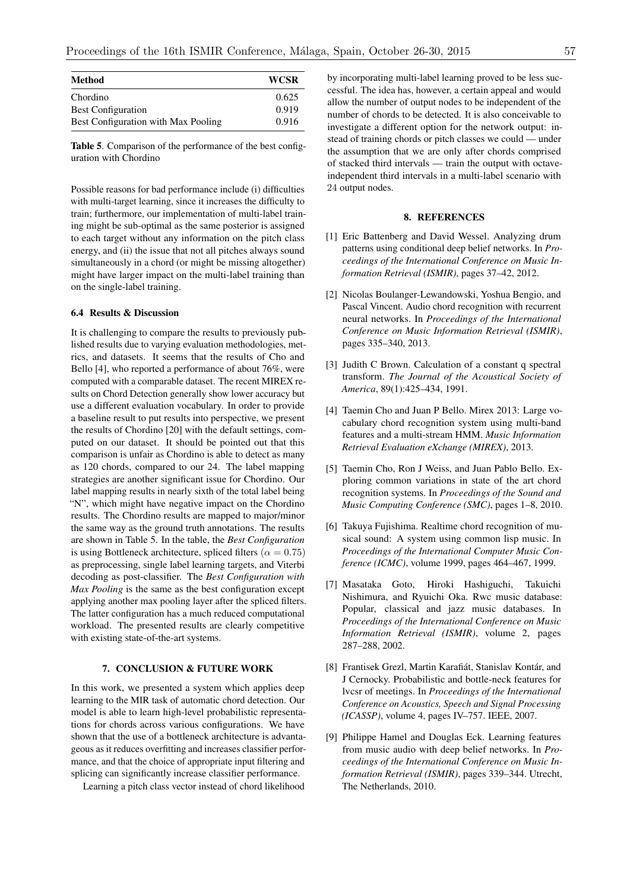| <b>Method</b>                       | <b>WCSR</b> |
|-------------------------------------|-------------|
| Chordino                            | 0.625       |
| <b>Best Configuration</b>           | 0.919       |
| Best Configuration with Max Pooling | 0.916       |

Table 5. Comparison of the performance of the best configuration with Chordino

Possible reasons for bad performance include (i) difficulties with multi-target learning, since it increases the difficulty to train; furthermore, our implementation of multi-label training might be sub-optimal as the same posterior is assigned to each target without any information on the pitch class energy, and (ii) the issue that not all pitches always sound simultaneously in a chord (or might be missing altogether) might have larger impact on the multi-label training than on the single-label training.

### 6.4 Results & Discussion

It is challenging to compare the results to previously published results due to varying evaluation methodologies, metrics, and datasets. It seems that the results of Cho and Bello [4], who reported a performance of about 76%, were computed with a comparable dataset. The recent MIREX results on Chord Detection generally show lower accuracy but use a different evaluation vocabulary. In order to provide a baseline result to put results into perspective, we present the results of Chordino [20] with the default settings, computed on our dataset. It should be pointed out that this comparison is unfair as Chordino is able to detect as many as 120 chords, compared to our 24. The label mapping strategies are another significant issue for Chordino. Our label mapping results in nearly sixth of the total label being "N", which might have negative impact on the Chordino results. The Chordino results are mapped to major/minor the same way as the ground truth annotations. The results are shown in Table 5. In the table, the *Best Configuration* is using Bottleneck architecture, spliced filters ( $\alpha = 0.75$ ) as preprocessing, single label learning targets, and Viterbi decoding as post-classifier. The *Best Configuration with Max Pooling* is the same as the best configuration except applying another max pooling layer after the spliced filters. The latter configuration has a much reduced computational workload. The presented results are clearly competitive with existing state-of-the-art systems.

# 7. CONCLUSION & FUTURE WORK

In this work, we presented a system which applies deep learning to the MIR task of automatic chord detection. Our model is able to learn high-level probabilistic representations for chords across various configurations. We have shown that the use of a bottleneck architecture is advantageous as it reduces overfitting and increases classifier performance, and that the choice of appropriate input filtering and splicing can significantly increase classifier performance.

Learning a pitch class vector instead of chord likelihood

by incorporating multi-label learning proved to be less successful. The idea has, however, a certain appeal and would allow the number of output nodes to be independent of the number of chords to be detected. It is also conceivable to investigate a different option for the network output: instead of training chords or pitch classes we could — under the assumption that we are only after chords comprised of stacked third intervals — train the output with octaveindependent third intervals in a multi-label scenario with 24 output nodes.

# 8. REFERENCES

- [1] Eric Battenberg and David Wessel. Analyzing drum patterns using conditional deep belief networks. In *Proceedings of the International Conference on Music Information Retrieval (ISMIR)*, pages 37–42, 2012.
- [2] Nicolas Boulanger-Lewandowski, Yoshua Bengio, and Pascal Vincent. Audio chord recognition with recurrent neural networks. In *Proceedings of the International Conference on Music Information Retrieval (ISMIR)*, pages 335–340, 2013.
- [3] Judith C Brown. Calculation of a constant q spectral transform. *The Journal of the Acoustical Society of America*, 89(1):425–434, 1991.
- [4] Taemin Cho and Juan P Bello. Mirex 2013: Large vocabulary chord recognition system using multi-band features and a multi-stream HMM. *Music Information Retrieval Evaluation eXchange (MIREX)*, 2013.
- [5] Taemin Cho, Ron J Weiss, and Juan Pablo Bello. Exploring common variations in state of the art chord recognition systems. In *Proceedings of the Sound and Music Computing Conference (SMC)*, pages 1–8, 2010.
- [6] Takuya Fujishima. Realtime chord recognition of musical sound: A system using common lisp music. In *Proceedings of the International Computer Music Conference (ICMC)*, volume 1999, pages 464–467, 1999.
- [7] Masataka Goto, Hiroki Hashiguchi, Takuichi Nishimura, and Ryuichi Oka. Rwc music database: Popular, classical and jazz music databases. In *Proceedings of the International Conference on Music Information Retrieval (ISMIR)*, volume 2, pages 287–288, 2002.
- [8] Frantisek Grezl, Martin Karafiát, Stanislav Kontár, and J Cernocky. Probabilistic and bottle-neck features for lvcsr of meetings. In *Proceedings of the International Conference on Acoustics, Speech and Signal Processing (ICASSP)*, volume 4, pages IV–757. IEEE, 2007.
- [9] Philippe Hamel and Douglas Eck. Learning features from music audio with deep belief networks. In *Proceedings of the International Conference on Music Information Retrieval (ISMIR)*, pages 339–344. Utrecht, The Netherlands, 2010.